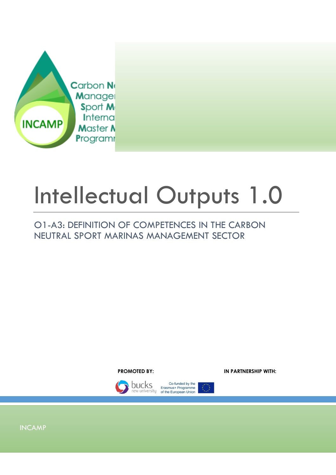

# Intellectual Outputs 1.0

# O1-A3: DEFINITION OF COMPETENCES IN THE CARBON NEUTRAL SPORT MARINAS MANAGEMENT SECTOR





Co-funded by the **DUCKS** Erasmus+ Programme<br>new university of the European Union KO.

INCAMP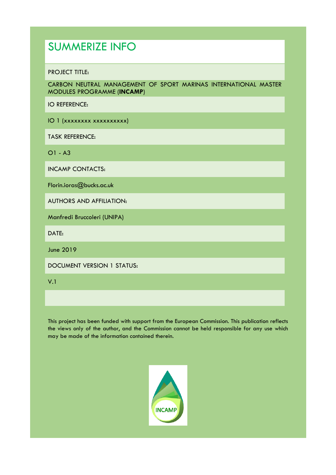# SUMMERIZE INFO

#### PROJECT TITLE:

CARBON NEUTRAL MANAGEMENT OF SPORT MARINAS INTERNATIONAL MASTER MODULES PROGRAMME (**INCAMP**)

IO REFERENCE:

IO 1 (xxxxxxxx xxxxxxxxxx)

TASK REFERENCE:

O1 - A3

INCAMP CONTACTS:

Florin.ioras@bucks.ac.uk

AUTHORS AND AFFILIATION:

Manfredi Bruccoleri (UNIPA)

DATE:

June 2019

DOCUMENT VERSION 1 STATUS:

V.1

This project has been funded with support from the European Commission. This publication reflects the views only of the author, and the Commission cannot be held responsible for any use which may be made of the information contained therein.

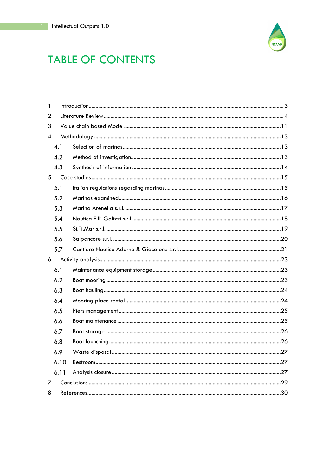

# **TABLE OF CONTENTS**

| 1 |      |  |
|---|------|--|
| 2 |      |  |
| 3 |      |  |
| 4 |      |  |
|   | 4.1  |  |
|   | 4.2  |  |
|   | 4.3  |  |
| 5 |      |  |
|   | 5.1  |  |
|   | 5.2  |  |
|   | 5.3  |  |
|   | 5.4  |  |
|   | 5.5  |  |
|   | 5.6  |  |
|   | 5.7  |  |
| 6 |      |  |
|   | 6.1  |  |
|   | 6.2  |  |
|   | 6.3  |  |
|   | 6.4  |  |
|   | 6.5  |  |
|   | 6.6  |  |
|   | 6.7  |  |
|   | 6.8  |  |
|   | 6.9  |  |
|   | 6.10 |  |
|   | 6.11 |  |
| 7 |      |  |
| 8 |      |  |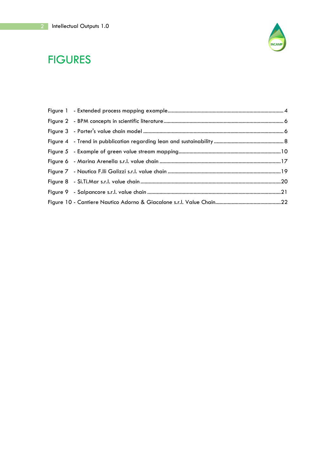

# **FIGURES**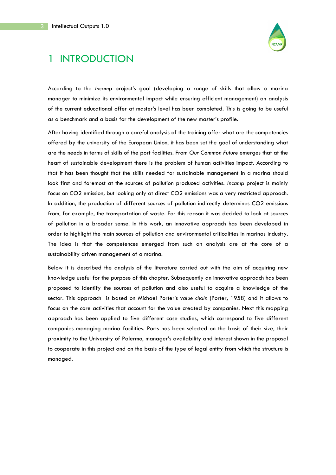

# 1 INTRODUCTION

According to the *Incamp* project's goal (developing a range of skills that allow a marina manager to minimize its environmental impact while ensuring efficient management) an analysis of the current educational offer at master's level has been completed. This is going to be useful as a benchmark and a basis for the development of the new master's profile.

After having identified through a careful analysis of the training offer what are the competencies offered by the university of the European Union, it has been set the goal of understanding what are the needs in terms of skills of the port facilities. From *Our Common Future* emerges that at the heart of sustainable development there is the problem of human activities impact. According to that it has been thought that the skills needed for sustainable management in a marina should look first and foremost at the sources of pollution produced activities. *Incamp* project is mainly focus on CO2 emission, but looking only at direct CO2 emissions was a very restricted approach. In addition, the production of different sources of pollution indirectly determines CO2 emissions from, for example, the transportation of waste. For this reason it was decided to look at sources of pollution in a broader sense. In this work, an innovative approach has been developed in order to highlight the main sources of pollution and environmental criticalities in marinas industry. The idea is that the competences emerged from such an analysis are at the core of a sustainability driven management of a marina.

Below it is described the analysis of the literature carried out with the aim of acquiring new knowledge useful for the purpose of this chapter. Subsequently an innovative approach has been proposed to identify the sources of pollution and also useful to acquire a knowledge of the sector. This approach is based on Michael Porter's v*alue chain* (Porter, 1958) and it allows to focus on the core activities that account for the value created by companies. Next this mapping approach has been applied to five different case studies, which correspond to five different companies managing marina facilities. Ports has been selected on the basis of their size, their proximity to the University of Palermo, manager's availability and interest shown in the proposal to cooperate in this project and on the basis of the type of legal entity from which the structure is managed.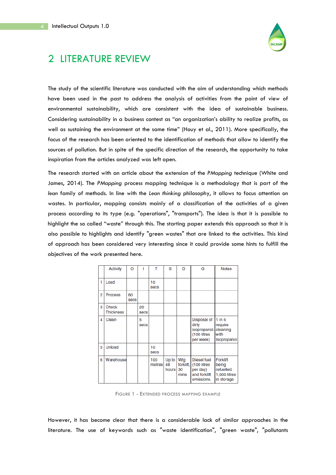

# 2 LITERATURE REVIEW

The study of the scientific literature was conducted with the aim of understanding which methods have been used in the past to address the analysis of activities from the point of view of environmental sustainability, which are consistent with the idea of sustainable business. Considering sustainability in a business contest as "an organization's ability to realize profits, as well as sustaining the environment at the same time" (Houy et al., 2011). More specifically, the focus of the research has been oriented to the identification of methods that allow to identify the sources of pollution. But in spite of the specific direction of the research, the opportunity to take inspiration from the articles analyzed was left open.

The research started with an article about the extension of the *PMapping* technique (White and James, 2014). The *PMapping* process mapping technique is a methodology that is part of the *lean* family of methods. In line with the *Lean thinking* philosophy, it allows to focus attention on wastes. In particular, mapping consists mainly of a classification of the activities of a given process according to its type (e.g. "operations", "transports"). The idea is that it is possible to highlight the so called "waste" through this. The starting paper extends this approach so that it is also possible to highlights and identify "green wastes" that are linked to the activities. This kind of approach has been considered very interesting since it could provide some hints to fulfill the objectives of the work presented here.

|   | <b>Activity</b>           | O                 | ı                 | т                 | S                    | D                              | G                                                                    | <b>Notes</b>                                                         |
|---|---------------------------|-------------------|-------------------|-------------------|----------------------|--------------------------------|----------------------------------------------------------------------|----------------------------------------------------------------------|
| 1 | Load                      |                   |                   | 10<br><b>Secs</b> |                      |                                |                                                                      |                                                                      |
| 2 | <b>Process</b>            | 60<br><b>Secs</b> |                   |                   |                      |                                |                                                                      |                                                                      |
| 3 | Check<br><b>Thickness</b> |                   | 20<br><b>SACS</b> |                   |                      |                                |                                                                      |                                                                      |
| 4 | Clean                     |                   | 5<br><b>Secs</b>  |                   |                      |                                | Disposal of<br>dirty<br>isopropanol.<br>(100 litres<br>per week)     | $1$ in $5$<br>require<br>cleaning<br>with<br>Isopropanol             |
| 5 | <b>Unload</b>             |                   |                   | 10<br>secs        |                      |                                |                                                                      |                                                                      |
| 6 | Warehouse                 |                   |                   | 100<br>metres     | Up to<br>48<br>hours | Wtg<br>forklift,<br>30<br>mins | Diesel fuel<br>(100 litres<br>per day)<br>and forklift<br>emissions. | <b>Forklift</b><br>being<br>refuelled.<br>1,000 litres<br>in storage |

FIGURE 1 - EXTENDED PROCESS MAPPING EXAMPLE

However, it has become clear that there is a considerable lack of similar approaches in the literature. The use of keywords such as "waste identification", "green waste", "pollutants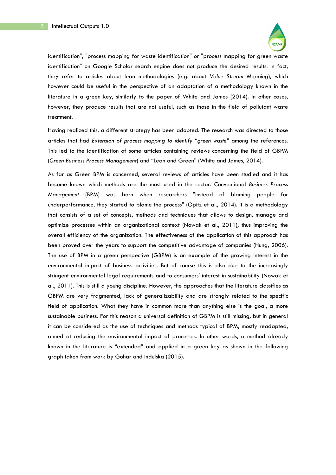

identification", "process mapping for waste identification" or "process mapping for green waste identification" on Google Scholar search engine does not produce the desired results. In fact, they refer to articles about lean methodologies (e.g. about *Value Stream Mapping*), which however could be useful in the perspective of an adaptation of a methodology known in the literature in a green key, similarly to the paper of White and James (2014). In other cases, however, they produce results that are not useful, such as those in the field of pollutant waste treatment.

Having realized this, a different strategy has been adopted. The research was directed to those articles that had *Extension of process mapping to identify "green waste"* among the references. This led to the identification of some articles containing reviews concerning the field of GBPM (*Green Business Process Management*) and "Lean and Green" (White and James, 2014).

As far as Green BPM is concerned, several reviews of articles have been studied and it has become known which methods are the most used in the sector. Conventional *Business Process Management* (BPM) was born when researchers "instead of blaming people for underperformance, they started to blame the process" (Opitz et al., 2014). It is a methodology that consists of a set of concepts, methods and techniques that allows to design, manage and optimize processes within an organizational context (Nowak et al., 2011), thus improving the overall efficiency of the organization. The effectiveness of the application of this approach has been proved over the years to support the competitive advantage of companies (Hung, 2006). The use of BPM in a green perspective (GBPM) is an example of the growing interest in the environmental impact of business activities. But of course this is also due to the increasingly stringent environmental legal requirements and to consumers' interest in sustainability (Nowak et al., 2011). This is still a young discipline. However, the approaches that the literature classifies as GBPM are very fragmented, lack of generalizability and are strongly related to the specific field of application. What they have in common more than anything else is the goal, a more sustainable business. For this reason a universal definition of GBPM is still missing, but in general it can be considered as the use of techniques and methods typical of BPM, mostly readapted, aimed at reducing the environmental impact of processes. In other words, a method already known in the literature is "extended" and applied in a green key as shown in the following graph taken from work by Gohar and Indulska (2015).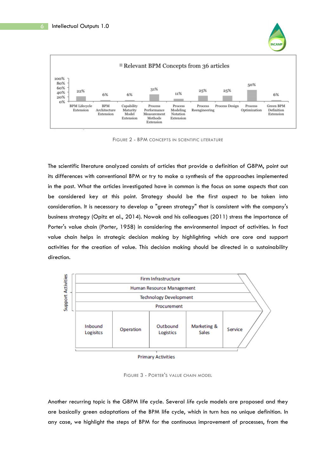



FIGURE 2 - BPM CONCEPTS IN SCIENTIFIC LITERATURE

The scientific literature analyzed consists of articles that provide a definition of GBPM, point out its differences with conventional BPM or try to make a synthesis of the approaches implemented in the past. What the articles investigated have in common is the focus on some aspects that can be considered key at this point. Strategy should be the first aspect to be taken into consideration. It is necessary to develop a "green strategy" that is consistent with the company's business strategy (Opitz et al., 2014). Nowak and his colleagues (2011) stress the importance of Porter's value chain (Porter, 1958) in considering the environmental impact of activities. In fact value chain helps in strategic decision making by highlighting which are core and support activities for the creation of value. This decision making should be directed in a sustainability direction.



**Primary Activities** 

FIGURE 3 - PORTER'S VALUE CHAIN MODEL

Another recurring topic is the GBPM life cycle. Several *life cycle* models are proposed and they are basically green adaptations of the BPM life cycle, which in turn has no unique definition. In any case, we highlight the steps of BPM for the continuous improvement of processes, from the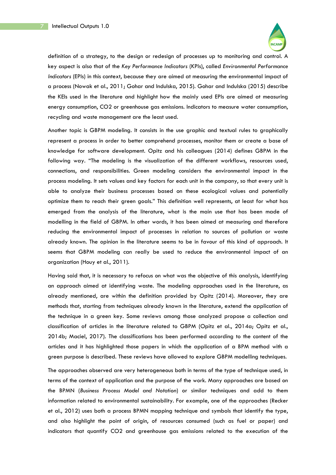

definition of a strategy, to the design or redesign of processes up to monitoring and control. A key aspect is also that of the *Key Performance Indicators* (KPIs), called *Environmental Performance Indicators* (EPIs) in this context, because they are aimed at measuring the environmental impact of a process (Nowak et al., 2011; Gohar and Indulska, 2015). Gohar and Indulska (2015) describe the KEIs used in the literature and highlight how the mainly used EPIs are aimed at measuring energy consumption, CO2 or greenhouse gas emissions. Indicators to measure water consumption, recycling and waste management are the least used.

Another topic is GBPM modeling. It consists in the use graphic and textual rules to graphically represent a process in order to better comprehend processes, monitor them or create a base of knowledge for software development. Opitz and his colleagues (2014) defines GBPM in the following way. "The modeling is the visualization of the different workflows, resources used, connections, and responsibilities. Green modeling considers the environmental impact in the process modeling. It sets values and key factors for each unit in the company, so that every unit is able to analyze their business processes based on these ecological values and potentially optimize them to reach their green goals." This definition well represents, at least for what has emerged from the analysis of the literature, what is the main use that has been made of modelling in the field of GBPM. In other words, it has been aimed at measuring and therefore reducing the environmental impact of processes in relation to sources of pollution or waste already known. The opinion in the literature seems to be in favour of this kind of approach. It seems that GBPM modeling can really be used to reduce the environmental impact of an organization (Houy et al., 2011).

Having said that, it is necessary to refocus on what was the objective of this analysis, identifying an approach aimed at identifying waste. The modeling approaches used in the literature, as already mentioned, are within the definition provided by Opitz (2014). Moreover, they are methods that, starting from techniques already known in the literature, extend the application of the technique in a green key. Some reviews among those analyzed propose a collection and classification of articles in the literature related to GBPM (Opitz et al., 2014a; Opitz et al., 2014b; Maciel, 2017). The classifications has been performed according to the content of the articles and it has highlighted those papers in which the application of a BPM method with a green purpose is described. These reviews have allowed to explore GBPM modelling techniques.

The approaches observed are very heterogeneous both in terms of the type of technique used, in terms of the context of application and the purpose of the work. Many approaches are based on the BPMN (*Business Process Model and Notation*) or similar techniques and add to them information related to environmental sustainability. For example, one of the approaches (Recker et al., 2012) uses both a process BPMN mapping technique and symbols that identify the type, and also highlight the point of origin, of resources consumed (such as fuel or paper) and indicators that quantify CO2 and greenhouse gas emissions related to the execution of the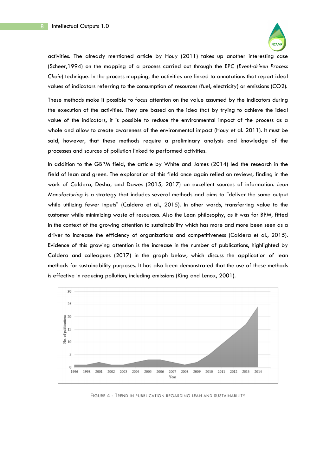

activities. The already mentioned article by Houy (2011) takes up another interesting case (Scheer,1994) on the mapping of a process carried out through the EPC (*Event-driven Process Chain*) technique. In the process mapping, the activities are linked to annotations that report ideal values of indicators referring to the consumption of resources (fuel, electricity) or emissions (CO2).

These methods make it possible to focus attention on the value assumed by the indicators during the execution of the activities. They are based on the idea that by trying to achieve the ideal value of the indicators, it is possible to reduce the environmental impact of the process as a whole and allow to create awareness of the environmental impact (Houy et al. 2011). It must be said, however, that these methods require a preliminary analysis and knowledge of the processes and sources of pollution linked to performed activities.

In addition to the GBPM field, the article by White and James (2014) led the research in the field of lean and green. The exploration of this field once again relied on reviews, finding in the work of Caldera, Desha, and Dawes (2015, 2017) an excellent sources of information. *Lean Manufacturing* is a strategy that includes several methods and aims to "deliver the same output while utilizing fewer inputs" (Caldera et al., 2015). In other words, transferring value to the customer while minimizing waste of resources. Also the Lean philosophy, as it was for BPM, fitted in the context of the growing attention to sustainability which has more and more been seen as a driver to increase the efficiency of organizations and competitiveness (Caldera et al., 2015). Evidence of this growing attention is the increase in the number of publications, highlighted by Caldera and colleagues (2017) in the graph below, which discuss the application of lean methods for sustainability purposes. It has also been demonstrated that the use of these methods is effective in reducing pollution, including emissions (King and Lenox, 2001).



FIGURE 4 - TREND IN PUBBLICATION REGARDING LEAN AND SUSTAINABILITY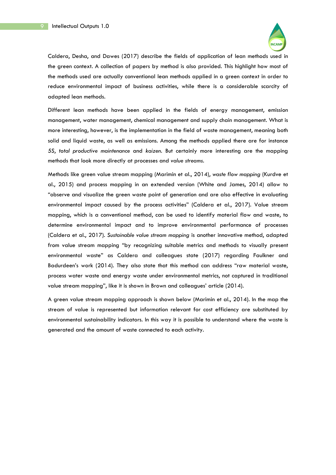

Caldera, Desha, and Dawes (2017) describe the fields of application of lean methods used in the green context. A collection of papers by method is also provided. This highlight how most of the methods used are actually conventional lean methods applied in a green context in order to reduce environmental impact of business activities, while there is a considerable scarcity of adapted lean methods.

Different lean methods have been applied in the fields of energy management, emission management, water management, chemical management and supply chain management. What is more interesting, however, is the implementation in the field of waste management, meaning both solid and liquid waste, as well as emissions. Among the methods applied there are for instance *5S*, *total productive maintenance* and *kaizen*. But certainly more interesting are the mapping methods that look more directly at processes and *value streams*.

Methods like green value stream mapping (Marimin et al., 2014), *waste flow mapping* (Kurdve et al., 2015) and process mapping in an extended version (White and James, 2014) allow to "observe and visualize the green waste point of generation and are also effective in evaluating environmental impact caused by the process activities" (Caldera et al., 2017). Value stream mapping, which is a conventional method, can be used to identify material flow and waste, to determine environmental impact and to improve environmental performance of processes (Caldera et al., 2017). *Sustainable value stream mapping* is another innovative method, adapted from value stream mapping "by recognizing suitable metrics and methods to visually present environmental waste" as Caldera and colleagues state (2017) regarding Faulkner and Badurdeen's work (2014). They also state that this method can address "raw material waste, process water waste and energy waste under environmental metrics, not captured in traditional value stream mapping", like it is shown in Brown and colleagues' article (2014).

A green value stream mapping approach is shown below (Marimin et al., 2014). In the map the stream of value is represented but information relevant for cost efficiency are substituted by environmental sustainability indicators. In this way it is possible to understand where the waste is generated and the amount of waste connected to each activity.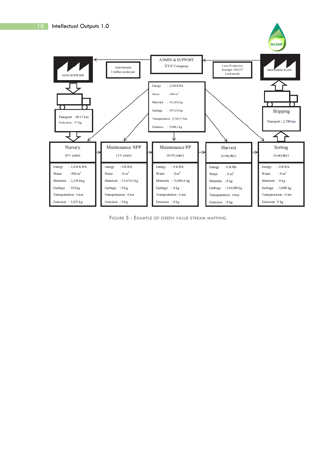

FIGURE 5 - EXAMPLE OF GREEN VALUE STREAM MAPPING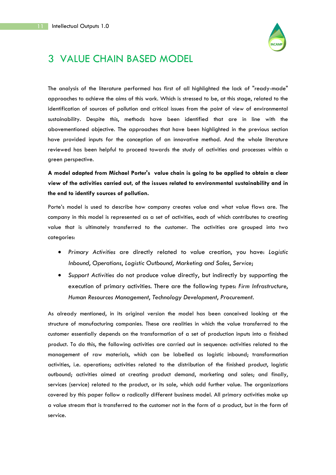

# 3 VALUE CHAIN BASED MODEL

The analysis of the literature performed has first of all highlighted the lack of "ready-made" approaches to achieve the aims of this work. Which is stressed to be, at this stage, related to the identification of sources of pollution and critical issues from the point of view of environmental sustainability. Despite this, methods have been identified that are in line with the abovementioned objective. The approaches that have been highlighted in the previous section have provided inputs for the conception of an innovative method. And the whole literature reviewed has been helpful to proceed towards the study of activities and processes within a green perspective.

**A model adapted from Michael Porter's value chain is going to be applied to obtain a clear view of the activities carried out, of the issues related to environmental sustainability and in the end to identify sources of pollution.** 

Porte's model is used to describe how company creates value and what value flows are. The company in this model is represented as a set of activities, each of which contributes to creating value that is ultimately transferred to the customer. The activities are grouped into two categories:

- *Primary Activities* are directly related to value creation, you have: *Logistic Inbound*, *Operations*, *Logistic Outbound*, *Marketing and Sales*, *Service*;
- *Support Activities* do not produce value directly, but indirectly by supporting the execution of primary activities. There are the following types: *Firm Infrastructure*, *Human Resources Management*, *Technology Development*, *Procurement.*

As already mentioned, in its original version the model has been conceived looking at the structure of manufacturing companies. These are realities in which the value transferred to the customer essentially depends on the transformation of a set of production inputs into a finished product. To do this, the following activities are carried out in sequence: activities related to the management of raw materials, which can be labelled as logistic inbound; transformation activities, i.e. operations; activities related to the distribution of the finished product, logistic outbound; activities aimed at creating product demand, marketing and sales; and finally, services (service) related to the product, or its sale, which add further value. The organizations covered by this paper follow a radically different business model. All primary activities make up a value stream that is transferred to the customer not in the form of a product, but in the form of service.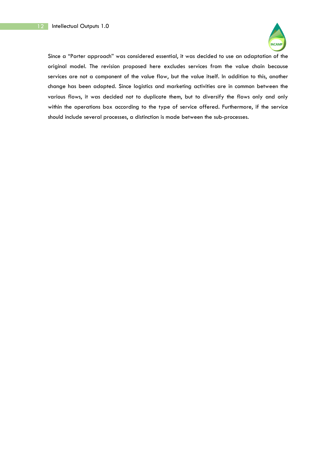

Since a "Porter approach" was considered essential, it was decided to use an adaptation of the original model. The revision proposed here excludes services from the value chain because services are not a component of the value flow, but the value itself. In addition to this, another change has been adopted. Since logistics and marketing activities are in common between the various flows, it was decided not to duplicate them, but to diversify the flows only and only within the operations box according to the type of service offered. Furthermore, if the service should include several processes, a distinction is made between the sub-processes.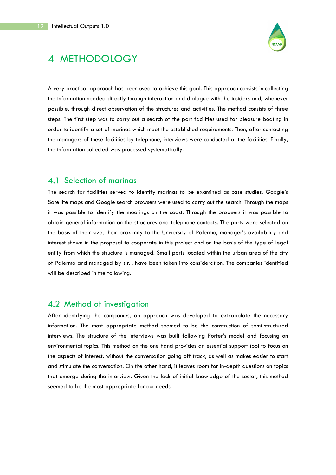

# 4 METHODOLOGY

A very practical approach has been used to achieve this goal. This approach consists in collecting the information needed directly through interaction and dialogue with the insiders and, whenever possible, through direct observation of the structures and activities. The method consists of three steps. The first step was to carry out a search of the port facilities used for pleasure boating in order to identify a set of marinas which meet the established requirements. Then, after contacting the managers of these facilities by telephone, interviews were conducted at the facilities. Finally, the information collected was processed systematically.

## 4.1 Selection of marinas

The search for facilities served to identify marinas to be examined as case studies. Google's Satellite maps and Google search browsers were used to carry out the search. Through the maps it was possible to identify the moorings on the coast. Through the browsers it was possible to obtain general information on the structures and telephone contacts. The ports were selected on the basis of their size, their proximity to the University of Palermo, manager's availability and interest shown in the proposal to cooperate in this project and on the basis of the type of legal entity from which the structure is managed. Small ports located within the urban area of the city of Palermo and managed by s.r.l. have been taken into consideration. The companies identified will be described in the following.

## 4.2 Method of investigation

After identifying the companies, an approach was developed to extrapolate the necessary information. The most appropriate method seemed to be the construction of semi-structured interviews. The structure of the interviews was built following Porter's model and focusing on environmental topics. This method on the one hand provides an essential support tool to focus on the aspects of interest, without the conversation going off track, as well as makes easier to start and stimulate the conversation. On the other hand, it leaves room for in-depth questions on topics that emerge during the interview. Given the lack of initial knowledge of the sector, this method seemed to be the most appropriate for our needs.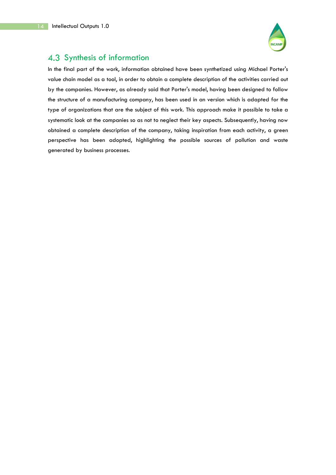

## 4.3 Synthesis of information

In the final part of the work, information obtained have been synthetized using Michael Porter's value chain model as a tool, in order to obtain a complete description of the activities carried out by the companies. However, as already said that Porter's model, having been designed to follow the structure of a manufacturing company, has been used in an version which is adapted for the type of organizations that are the subject of this work. This approach make it possible to take a systematic look at the companies so as not to neglect their key aspects. Subsequently, having now obtained a complete description of the company, taking inspiration from each activity, a green perspective has been adopted, highlighting the possible sources of pollution and waste generated by business processes.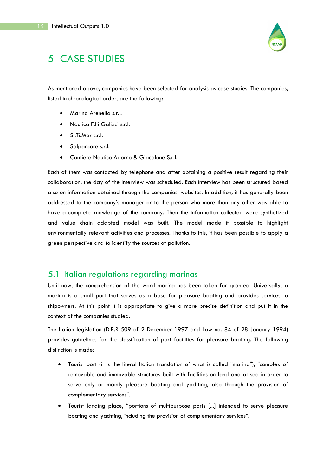

# 5 CASE STUDIES

As mentioned above, companies have been selected for analysis as case studies. The companies, listed in chronological order, are the following:

- Marina Arenella s.r.l.
- Nautica F.lli Galizzi s.r.l.
- Si.Ti.Mar s.r.l.
- Salpancore s.r.l.
- Cantiere Nautico Adorno & Giacalone S.r.l.

Each of them was contacted by telephone and after obtaining a positive result regarding their collaboration, the day of the interview was scheduled. Each interview has been structured based also on information obtained through the companies' websites. In addition, it has generally been addressed to the company's manager or to the person who more than any other was able to have a complete knowledge of the company. Then the information collected were synthetized and value chain adapted model was built. The model made it possible to highlight environmentally relevant activities and processes. Thanks to this, it has been possible to apply a green perspective and to identify the sources of pollution.

#### 5.1 Italian regulations regarding marinas

Until now, the comprehension of the word marina has been taken for granted. Universally, a marina is a small port that serves as a base for pleasure boating and provides services to shipowners. At this point it is appropriate to give a more precise definition and put it in the context of the companies studied.

The Italian legislation (D.P.R 509 of 2 December 1997 and Law no. 84 of 28 January 1994) provides guidelines for the classification of port facilities for pleasure boating. The following distinction is made:

- Tourist port (it is the literal Italian translation of what is called "marina"), "complex of removable and immovable structures built with facilities on land and at sea in order to serve only or mainly pleasure boating and yachting, also through the provision of complementary services".
- Tourist landing place, "portions of multipurpose ports [...] intended to serve pleasure boating and yachting, including the provision of complementary services".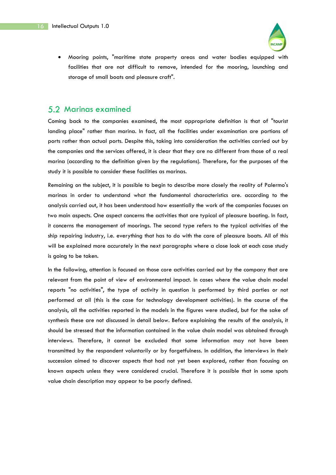

• Mooring points, "maritime state property areas and water bodies equipped with facilities that are not difficult to remove, intended for the mooring, launching and storage of small boats and pleasure craft".

#### 5.2 Marinas examined

Coming back to the companies examined, the most appropriate definition is that of "tourist landing place" rather than marina. In fact, all the facilities under examination are portions of ports rather than actual ports. Despite this, taking into consideration the activities carried out by the companies and the services offered, it is clear that they are no different from those of a real marina (according to the definition given by the regulations). Therefore, for the purposes of the study it is possible to consider these facilities as marinas.

Remaining on the subject, it is possible to begin to describe more closely the reality of Palermo's marinas in order to understand what the fundamental characteristics are. according to the analysis carried out, it has been understood how essentially the work of the companies focuses on two main aspects. One aspect concerns the activities that are typical of pleasure boating. In fact, it concerns the management of moorings. The second type refers to the typical activities of the ship repairing industry, i.e. everything that has to do with the care of pleasure boats. All of this will be explained more accurately in the next paragraphs where a close look at each case study is going to be taken.

In the following, attention is focused on those core activities carried out by the company that are relevant from the point of view of environmental impact. In cases where the value chain model reports "no activities", the type of activity in question is performed by third parties or not performed at all (this is the case for technology development activities). In the course of the analysis, all the activities reported in the models in the figures were studied, but for the sake of synthesis these are not discussed in detail below. Before explaining the results of the analysis, it should be stressed that the information contained in the value chain model was obtained through interviews. Therefore, it cannot be excluded that some information may not have been transmitted by the respondent voluntarily or by forgetfulness. In addition, the interviews in their succession aimed to discover aspects that had not yet been explored, rather than focusing on known aspects unless they were considered crucial. Therefore it is possible that in some spots value chain description may appear to be poorly defined.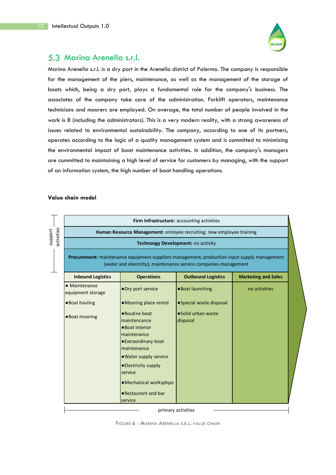

## 5.3 Marina Arenella s.r.l.

Marina Arenella s.r.l. is a dry port in the Arenella district of Palermo. The company is responsible for the management of the piers, maintenance, as well as the management of the storage of boats which, being a dry port, plays a fundamental role for the company's business. The associates of the company take care of the administration. Forklift operators, maintenance technicians and moorers are employed. On average, the total number of people involved in the work is 8 (including the administrators). This is a very modern reality, with a strong awareness of issues related to environmental sustainability. The company, according to one of its partners, operates according to the logic of a quality management system and is committed to minimizing the environmental impact of boat maintenance activities. In addition, the company's managers are committed to maintaining a high level of service for customers by managing, with the support of an information system, the high number of boat handling operations.

|                                                                      |                                                                                                                                                                 | Firm Infrastructure: accounting activities |                            |  |  |  |
|----------------------------------------------------------------------|-----------------------------------------------------------------------------------------------------------------------------------------------------------------|--------------------------------------------|----------------------------|--|--|--|
| Human Resource Management: emloyee recruiting; new employee training |                                                                                                                                                                 |                                            |                            |  |  |  |
|                                                                      |                                                                                                                                                                 | Technoogy Development: no activity         |                            |  |  |  |
|                                                                      | Procurement: maintenance equipment suppliers management; production input supply management<br>(water and elecricity); maintenance service companies management |                                            |                            |  |  |  |
| <b>Inbound Logistics</b>                                             | <b>Operations</b>                                                                                                                                               | <b>Outbound Logistics</b>                  | <b>Marketing and Sales</b> |  |  |  |
| • Maintenance<br>equipment storage                                   | • Dry port service                                                                                                                                              | •Boat launching                            | no activities              |  |  |  |
| ● Boat hauling                                                       | •Mooring place rental                                                                                                                                           | • Special waste disposal                   |                            |  |  |  |
| . Boat mooring                                                       | • Routine boat<br>maintencance<br>• Boat interior                                                                                                               | ·Solid urban waste<br>disposal             |                            |  |  |  |
|                                                                      | maintenance<br><b>• Extraordinary boat</b><br>maintenance                                                                                                       |                                            |                            |  |  |  |
|                                                                      | . Water supply service<br>• Electricity supply<br>service                                                                                                       |                                            |                            |  |  |  |
|                                                                      | ·Mechanical worksphpo                                                                                                                                           |                                            |                            |  |  |  |
|                                                                      | • Restaurant and bar                                                                                                                                            |                                            |                            |  |  |  |

FIGURE 6 - MARINA ARENELLA S.R.L. VALUE CHAIN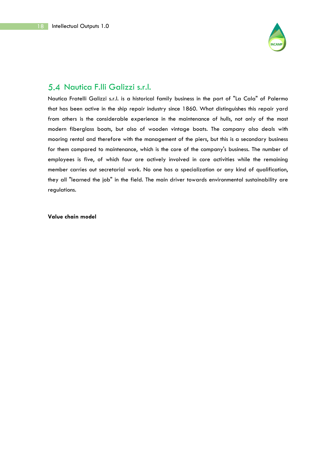

## 5.4 Nautica F.IIi Galizzi s.r.l.

Nautica Fratelli Galizzi s.r.l. is a historical family business in the port of "La Cala" of Palermo that has been active in the ship repair industry since 1860. What distinguishes this repair yard from others is the considerable experience in the maintenance of hulls, not only of the most modern fiberglass boats, but also of wooden vintage boats. The company also deals with mooring rental and therefore with the management of the piers, but this is a secondary business for them compared to maintenance, which is the core of the company's business. The number of employees is five, of which four are actively involved in core activities while the remaining member carries out secretarial work. No one has a specialization or any kind of qualification, they all "learned the job" in the field. The main driver towards environmental sustainability are regulations.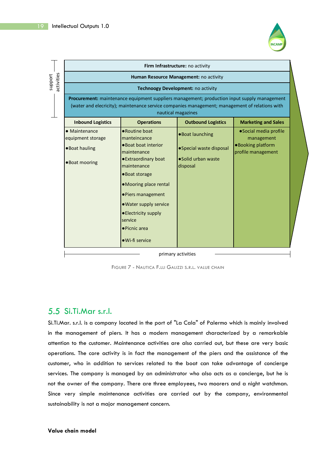

٦

|         |            |                                    |                                                                                                                                                                                               | Firm Infrastructure: no activity       |                                         |  |
|---------|------------|------------------------------------|-----------------------------------------------------------------------------------------------------------------------------------------------------------------------------------------------|----------------------------------------|-----------------------------------------|--|
| support | activities |                                    |                                                                                                                                                                                               | Human Resource Management: no activity |                                         |  |
|         |            |                                    |                                                                                                                                                                                               | Technoogy Development: no activity     |                                         |  |
|         |            |                                    | Procurement: maintenance equipment suppliers management; production input supply management<br>(water and elecricity); maintenance service companies management; management of relations with | nautical magazines                     |                                         |  |
|         |            | <b>Inbound Logistics</b>           | <b>Operations</b>                                                                                                                                                                             | <b>Outbound Logistics</b>              | <b>Marketing and Sales</b>              |  |
|         |            | • Maintenance<br>equipment storage | • Routine boat<br>manteincance                                                                                                                                                                | . Boat launching                       | ·Social media profile<br>management     |  |
|         |            | •Boat hauling                      | • Boat boat interior<br>maintenance                                                                                                                                                           | • Special waste disposal               | ·Booking platform<br>profile management |  |
|         |            | . Boat mooring                     | ● Extraordinary boat<br>maintenance                                                                                                                                                           | • Solid urban waste<br>disposal        |                                         |  |
|         |            |                                    | •Boat storage                                                                                                                                                                                 |                                        |                                         |  |
|         |            |                                    | •Mooring place rental                                                                                                                                                                         |                                        |                                         |  |
|         |            |                                    | • Piers management                                                                                                                                                                            |                                        |                                         |  |
|         |            |                                    | . Water supply service                                                                                                                                                                        |                                        |                                         |  |
|         |            |                                    | • Electricity supply<br>service                                                                                                                                                               |                                        |                                         |  |
|         |            |                                    | • Picnic area                                                                                                                                                                                 |                                        |                                         |  |
|         |            |                                    | · Wi-fi service                                                                                                                                                                               |                                        |                                         |  |

primary activities

FIGURE 7 - NAUTICA F.LLI GALIZZI S.R.L. VALUE CHAIN

## Si.Ti.Mar s.r.l.

**F** 

Si.Ti.Mar. s.r.l. is a company located in the port of "La Cala" of Palermo which is mainly involved in the management of piers. It has a modern management characterized by a remarkable attention to the customer. Maintenance activities are also carried out, but these are very basic operations. The core activity is in fact the management of the piers and the assistance of the customer, who in addition to services related to the boat can take advantage of concierge services. The company is managed by an administrator who also acts as a concierge, but he is not the owner of the company. There are three employees, two moorers and a night watchman. Since very simple maintenance activities are carried out by the company, environmental sustainability is not a major management concern.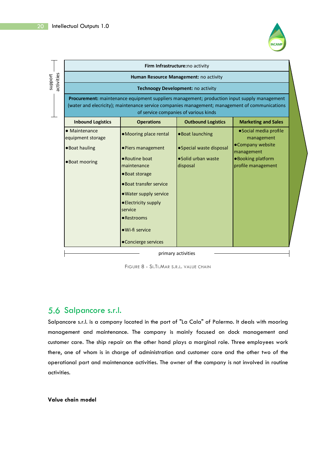

|         |            |                                    |                                                                                                                                                                                                      | Firm Infrastructure:no activity        |                                          |  |
|---------|------------|------------------------------------|------------------------------------------------------------------------------------------------------------------------------------------------------------------------------------------------------|----------------------------------------|------------------------------------------|--|
| support |            |                                    |                                                                                                                                                                                                      | Human Resource Management: no activity |                                          |  |
|         | activities |                                    |                                                                                                                                                                                                      | Technoogy Development: no activity     |                                          |  |
|         |            |                                    | <b>Procurement:</b> maintenance equipment suppliers management; production input supply management<br>(water and elecricity); maintenance service companies management; management of communications | of service companies of various kinds  |                                          |  |
|         |            | <b>Inbound Logistics</b>           | <b>Operations</b>                                                                                                                                                                                    | <b>Outbound Logistics</b>              | <b>Marketing and Sales</b>               |  |
|         |            | • Maintenance<br>equipment storage | •Mooring place rental                                                                                                                                                                                | . Boat launching                       | ·Social media profile<br>management      |  |
|         |            | •Boat hauling                      | • Piers management                                                                                                                                                                                   | • Special waste disposal               | •Company website<br>management           |  |
|         |            | . Boat mooring                     | • Routine boat<br>maintenance                                                                                                                                                                        | •Solid urban waste<br>disposal         | ● Booking platform<br>profile management |  |
|         |            |                                    | •Boat storage                                                                                                                                                                                        |                                        |                                          |  |
|         |            |                                    | • Boat transfer service                                                                                                                                                                              |                                        |                                          |  |
|         |            |                                    | . Water supply service                                                                                                                                                                               |                                        |                                          |  |
|         |            |                                    | • Electricity supply                                                                                                                                                                                 |                                        |                                          |  |
|         |            |                                    | service                                                                                                                                                                                              |                                        |                                          |  |
|         |            |                                    | • Restrooms                                                                                                                                                                                          |                                        |                                          |  |
|         |            |                                    | · Wi-fi service                                                                                                                                                                                      |                                        |                                          |  |
|         |            |                                    | •Concierge services                                                                                                                                                                                  |                                        |                                          |  |
|         |            |                                    |                                                                                                                                                                                                      | primary activities                     |                                          |  |

FIGURE 8 - SI.TI.MAR S.R.L. VALUE CHAIN

## 5.6 Salpancore s.r.l.

Salpancore s.r.l. is a company located in the port of "La Cala" of Palermo. It deals with mooring management and maintenance. The company is mainly focused on dock management and customer care. The ship repair on the other hand plays a marginal role. Three employees work there, one of whom is in charge of administration and customer care and the other two of the operational part and maintenance activities. The owner of the company is not involved in routine activities.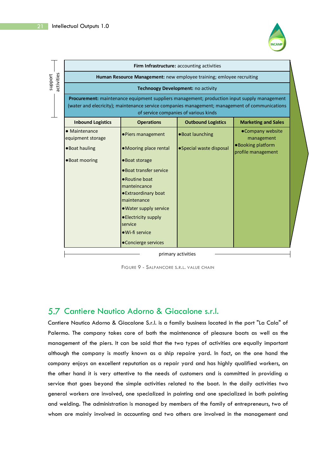

|            |                                    |                                     | Firm Infrastructure: accounting activities                                                                                                                                                                                             |                                         |  |
|------------|------------------------------------|-------------------------------------|----------------------------------------------------------------------------------------------------------------------------------------------------------------------------------------------------------------------------------------|-----------------------------------------|--|
| activities |                                    |                                     | Human Resource Management: new employee training; emloyee recruiting                                                                                                                                                                   |                                         |  |
|            |                                    |                                     | Technoogy Development: no activity                                                                                                                                                                                                     |                                         |  |
|            |                                    |                                     | Procurement: maintenance equipment suppliers management; production input supply management<br>(water and elecricity); maintenance service companies management; management of communications<br>of service companies of various kinds |                                         |  |
|            | <b>Inbound Logistics</b>           | <b>Operations</b>                   | <b>Outbound Logistics</b>                                                                                                                                                                                                              | <b>Marketing and Sales</b>              |  |
|            | • Maintenance<br>equipment storage | ·Piers management                   | ·Boat launching                                                                                                                                                                                                                        | •Company website<br>management          |  |
|            | ● Boat hauling                     | •Mooring place rental               | • Special waste disposal                                                                                                                                                                                                               | ·Booking platform<br>profile management |  |
|            | . Boat mooring                     | •Boat storage                       |                                                                                                                                                                                                                                        |                                         |  |
|            |                                    | • Boat transfer service             |                                                                                                                                                                                                                                        |                                         |  |
|            |                                    | • Routine boat<br>manteincance      |                                                                                                                                                                                                                                        |                                         |  |
|            |                                    | ● Extraordinary boat<br>maintenance |                                                                                                                                                                                                                                        |                                         |  |
|            |                                    | • Water supply service              |                                                                                                                                                                                                                                        |                                         |  |
|            |                                    | • Electricity supply<br>service     |                                                                                                                                                                                                                                        |                                         |  |
|            |                                    | • Wi-fi service                     |                                                                                                                                                                                                                                        |                                         |  |
|            |                                    | •Concierge services                 |                                                                                                                                                                                                                                        |                                         |  |

FIGURE 9 - SALPANCORE S.R.L. VALUE CHAIN

## 5.7 Cantiere Nautico Adorno & Giacalone s.r.l.

Cantiere Nautico Adorno & Giacalone S.r.l. is a family business located in the port "La Cala" of Palermo. The company takes care of both the maintenance of pleasure boats as well as the management of the piers. It can be said that the two types of activities are equally important although the company is mostly known as a ship repaire yard. In fact, on the one hand the company enjoys an excellent reputation as a repair yard and has highly qualified workers, on the other hand it is very attentive to the needs of customers and is committed in providing a service that goes beyond the simple activities related to the boat. In the daily activities two general workers are involved, one specialized in painting and one specialized in both painting and welding. The administration is managed by members of the family of entrepreneurs, two of whom are mainly involved in accounting and two others are involved in the management and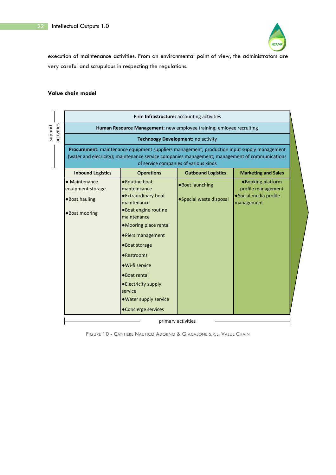

execution of maintenance activities. From an environmental point of view, the administrators are very careful and scrupulous in respecting the regulations.

#### **Value chain model**

| Firm Infrastructure: accounting activities                           |                                                                                                                                                                                               |                                       |                                         |  |  |  |  |
|----------------------------------------------------------------------|-----------------------------------------------------------------------------------------------------------------------------------------------------------------------------------------------|---------------------------------------|-----------------------------------------|--|--|--|--|
| Human Resource Management: new employee training; emloyee recruiting |                                                                                                                                                                                               |                                       |                                         |  |  |  |  |
|                                                                      |                                                                                                                                                                                               | Technoogy Development: no activity    |                                         |  |  |  |  |
|                                                                      | Procurement: maintenance equipment suppliers management; production input supply management<br>(water and elecricity); maintenance service companies management; management of communications | of service companies of various kinds |                                         |  |  |  |  |
| <b>Inbound Logistics</b>                                             | <b>Operations</b>                                                                                                                                                                             | <b>Outbound Logistics</b>             | <b>Marketing and Sales</b>              |  |  |  |  |
| • Maintenance<br>equipment storage                                   | • Routine boat<br>manteincance                                                                                                                                                                | •Boat launching                       | •Booking platform<br>profile management |  |  |  |  |
| ● Boat hauling                                                       | <b>• Extraordinary boat</b><br>maintenance                                                                                                                                                    | • Special waste disposal              | ·Social media profile<br>management     |  |  |  |  |
| •Boat mooring                                                        | •Boat engine routine<br>maintenance                                                                                                                                                           |                                       |                                         |  |  |  |  |
|                                                                      | •Mooring place rental                                                                                                                                                                         |                                       |                                         |  |  |  |  |
|                                                                      | • Piers management                                                                                                                                                                            |                                       |                                         |  |  |  |  |
|                                                                      | •Boat storage                                                                                                                                                                                 |                                       |                                         |  |  |  |  |
|                                                                      | • Restrooms                                                                                                                                                                                   |                                       |                                         |  |  |  |  |
|                                                                      | · Wi-fi service                                                                                                                                                                               |                                       |                                         |  |  |  |  |
|                                                                      | •Boat rental                                                                                                                                                                                  |                                       |                                         |  |  |  |  |
|                                                                      | • Electricity supply                                                                                                                                                                          |                                       |                                         |  |  |  |  |
|                                                                      | service<br>. Water supply service                                                                                                                                                             |                                       |                                         |  |  |  |  |
|                                                                      | • Concierge services                                                                                                                                                                          |                                       |                                         |  |  |  |  |

FIGURE 10 - CANTIERE NAUTICO ADORNO & GIACALONE S.R.L. VALUE CHAIN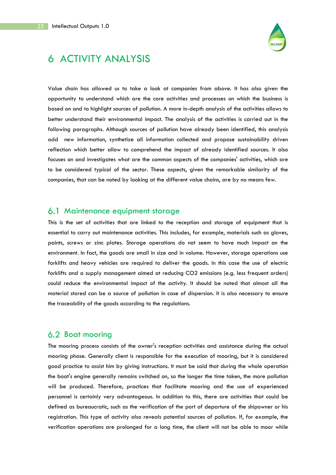

# 6 ACTIVITY ANALYSIS

Value chain has allowed us to take a look at companies from above. It has also given the opportunity to understand which are the core activities and processes on which the business is based on and to highlight sources of pollution. A more in-depth analysis of the activities allows to better understand their environmental impact. The analysis of the activities is carried out in the following paragraphs. Although sources of pollution have already been identified, this analysis add new information, synthetize all information collected and propose sustainability driven reflection which better allow to comprehend the impact of already identified sources. It also focuses on and investigates what are the common aspects of the companies' activities, which are to be considered typical of the sector. These aspects, given the remarkable similarity of the companies, that can be noted by looking at the different value chains, are by no means few.

## 6.1 Maintenance equipment storage

This is the set of activities that are linked to the reception and storage of equipment that is essential to carry out maintenance activities. This includes, for example, materials such as gloves, paints, screws or zinc plates. Storage operations do not seem to have much impact on the environment. In fact, the goods are small in size and in volume. However, storage operations use forklifts and heavy vehicles are required to deliver the goods. In this case the use of electric forklifts and a supply management aimed at reducing CO2 emissions (e.g. less frequent orders) could reduce the environmental impact of the activity. It should be noted that almost all the material stored can be a source of pollution in case of dispersion. It is also necessary to ensure the traceability of the goods according to the regulations.

## 6.2 Boat mooring

The mooring process consists of the owner's reception activities and assistance during the actual mooring phase. Generally client is responsible for the execution of mooring, but it is considered good practice to assist him by giving instructions. It must be said that during the whole operation the boat's engine generally remains switched on, so the longer the time taken, the more pollution will be produced. Therefore, practices that facilitate mooring and the use of experienced personnel is certainly very advantageous. In addition to this, there are activities that could be defined as bureaucratic, such as the verification of the port of departure of the shipowner or his registration. This type of activity also reveals potential sources of pollution. If, for example, the verification operations are prolonged for a long time, the client will not be able to moor while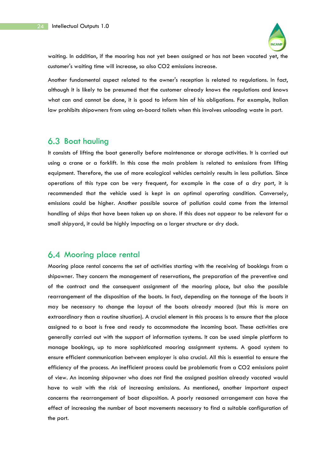

waiting. In addition, if the mooring has not yet been assigned or has not been vacated yet, the customer's waiting time will increase, so also CO2 emissions increase.

Another fundamental aspect related to the owner's reception is related to regulations. In fact, although it is likely to be presumed that the customer already knows the regulations and knows what can and cannot be done, it is good to inform him of his obligations. For example, Italian law prohibits shipowners from using on-board toilets when this involves unloading waste in port.

## 6.3 Boat hauling

It consists of lifting the boat generally before maintenance or storage activities. It is carried out using a crane or a forklift. In this case the main problem is related to emissions from lifting equipment. Therefore, the use of more ecological vehicles certainly results in less pollution. Since operations of this type can be very frequent, for example in the case of a dry port, it is recommended that the vehicle used is kept in an optimal operating condition. Conversely, emissions could be higher. Another possible source of pollution could come from the internal handling of ships that have been taken up on shore. If this does not appear to be relevant for a small shipyard, it could be highly impacting on a larger structure or dry dock.

## 6.4 Mooring place rental

Mooring place rental concerns the set of activities starting with the receiving of bookings from a shipowner. They concern the management of reservations, the preparation of the preventive and of the contract and the consequent assignment of the mooring place, but also the possible rearrangement of the disposition of the boats. In fact, depending on the tonnage of the boats it may be necessary to change the layout of the boats already moored (but this is more an extraordinary than a routine situation). A crucial element in this process is to ensure that the place assigned to a boat is free and ready to accommodate the incoming boat. These activities are generally carried out with the support of information systems. It can be used simple platform to manage bookings, up to more sophisticated mooring assignment systems. A good system to ensure efficient communication between employer is also crucial. All this is essential to ensure the efficiency of the process. An inefficient process could be problematic from a CO2 emissions point of view. An incoming shipowner who does not find the assigned position already vacated would have to wait with the risk of increasing emissions. As mentioned, another important aspect concerns the rearrangement of boat disposition. A poorly reasoned arrangement can have the effect of increasing the number of boat movements necessary to find a suitable configuration of the port.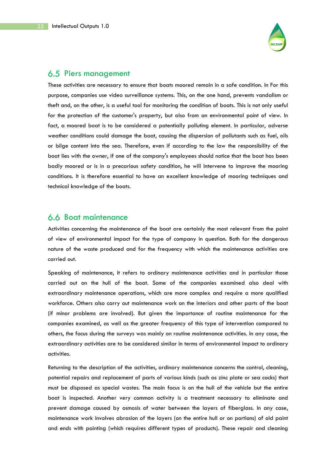

## 6.5 Piers management

These activities are necessary to ensure that boats moored remain in a safe condition. In For this purpose, companies use video surveillance systems. This, on the one hand, prevents vandalism or theft and, on the other, is a useful tool for monitoring the condition of boats. This is not only useful for the protection of the customer's property, but also from an environmental point of view. In fact, a moored boat is to be considered a potentially polluting element. In particular, adverse weather conditions could damage the boat, causing the dispersion of pollutants such as fuel, oils or bilge content into the sea. Therefore, even if according to the law the responsibility of the boat lies with the owner, if one of the company's employees should notice that the boat has been badly moored or is in a precarious safety condition, he will intervene to improve the mooring conditions. It is therefore essential to have an excellent knowledge of mooring techniques and technical knowledge of the boats.

## 6.6 Boat maintenance

Activities concerning the maintenance of the boat are certainly the most relevant from the point of view of environmental impact for the type of company in question. Both for the dangerous nature of the waste produced and for the frequency with which the maintenance activities are carried out.

Speaking of maintenance, it refers to ordinary maintenance activities and in particular those carried out on the hull of the boat. Some of the companies examined also deal with extraordinary maintenance operations, which are more complex and require a more qualified workforce. Others also carry out maintenance work on the interiors and other parts of the boat (if minor problems are involved). But given the importance of routine maintenance for the companies examined, as well as the greater frequency of this type of intervention compared to others, the focus during the surveys was mainly on routine maintenance activities. In any case, the extraordinary activities are to be considered similar in terms of environmental impact to ordinary activities.

Returning to the description of the activities, ordinary maintenance concerns the control, cleaning, potential repairs and replacement of parts of various kinds (such as zinc plate or sea cocks) that must be disposed as special wastes. The main focus is on the hull of the vehicle but the entire boat is inspected. Another very common activity is a treatment necessary to eliminate and prevent damage caused by osmosis of water between the layers of fiberglass. In any case, maintenance work involves abrasion of the layers (on the entire hull or on portions) of old paint and ends with painting (which requires different types of products). These repair and cleaning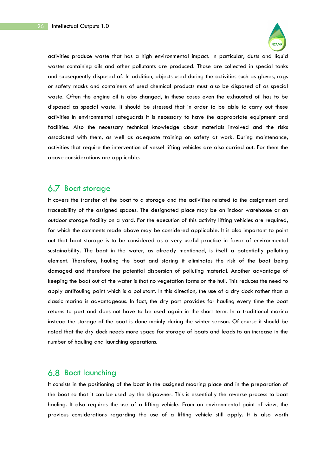

activities produce waste that has a high environmental impact. In particular, dusts and liquid wastes containing oils and other pollutants are produced. Those are collected in special tanks and subsequently disposed of. In addition, objects used during the activities such as gloves, rags or safety masks and containers of used chemical products must also be disposed of as special waste. Often the engine oil is also changed, in these cases even the exhausted oil has to be disposed as special waste. It should be stressed that in order to be able to carry out these activities in environmental safeguards it is necessary to have the appropriate equipment and facilities. Also the necessary technical knowledge about materials involved and the risks associated with them, as well as adequate training on safety at work. During maintenance, activities that require the intervention of vessel lifting vehicles are also carried out. For them the above considerations are applicable.

## 6.7 Boat storage

It covers the transfer of the boat to a storage and the activities related to the assignment and traceability of the assigned spaces. The designated place may be an indoor warehouse or an outdoor storage facility on a yard. For the execution of this activity lifting vehicles are required, for which the comments made above may be considered applicable. It is also important to point out that boat storage is to be considered as a very useful practice in favor of environmental sustainability. The boat in the water, as already mentioned, is itself a potentially polluting element. Therefore, hauling the boat and storing it eliminates the risk of the boat being damaged and therefore the potential dispersion of polluting material. Another advantage of keeping the boat out of the water is that no vegetation forms on the hull. This reduces the need to apply antifouling paint which is a pollutant. In this direction, the use of a dry dock rather than a classic marina is advantageous. In fact, the dry port provides for hauling every time the boat returns to port and does not have to be used again in the short term. In a traditional marina instead the storage of the boat is done mainly during the winter season. Of course it should be noted that the dry dock needs more space for storage of boats and leads to an increase in the number of hauling and launching operations.

#### 6.8 Boat launching

It consists in the positioning of the boat in the assigned mooring place and in the preparation of the boat so that it can be used by the shipowner. This is essentially the reverse process to boat hauling. It also requires the use of a lifting vehicle. From an environmental point of view, the previous considerations regarding the use of a lifting vehicle still apply. It is also worth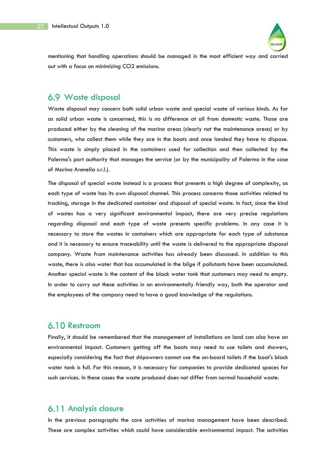

mentioning that handling operations should be managed in the most efficient way and carried out with a focus on minimizing CO2 emissions.

## Waste disposal

Waste disposal may concern both solid urban waste and special waste of various kinds. As far as solid urban waste is concerned, this is no difference at all from domestic waste. Those are produced either by the cleaning of the marina areas (clearly not the maintenance areas) or by customers, who collect them while they are in the boats and once landed they have to dispose. This waste is simply placed in the containers used for collection and then collected by the Palermo's port authority that manages the service (or by the municipality of Palermo in the case of Marina Arenella s.r.l.).

The disposal of special waste instead is a process that presents a high degree of complexity, as each type of waste has its own disposal channel. This process concerns those activities related to tracking, storage in the dedicated container and disposal of special waste. In fact, since the kind of wastes has a very significant environmental impact, there are very precise regulations regarding disposal and each type of waste presents specific problems. In any case it is necessary to store the wastes in containers which are appropriate for each type of substance and it is necessary to ensure traceability until the waste is delivered to the appropriate disposal company. Waste from maintenance activities has already been discussed. In addition to this waste, there is also water that has accumulated in the bilge if pollutants have been accumulated. Another special waste is the content of the black water tank that customers may need to empty. In order to carry out these activities in an environmentally friendly way, both the operator and the employees of the company need to have a good knowledge of the regulations.

## 6.10 Restroom

Finally, it should be remembered that the management of installations on land can also have an environmental impact. Customers getting off the boats may need to use toilets and showers, especially considering the fact that shipowners cannot use the on-board toilets if the boat's black water tank is full. For this reason, it is necessary for companies to provide dedicated spaces for such services. In these cases the waste produced does not differ from normal household waste.

## 6.11 Analysis closure

In the previous paragraphs the core activities of marina management have been described. These are complex activities which could have considerable environmental impact. The activities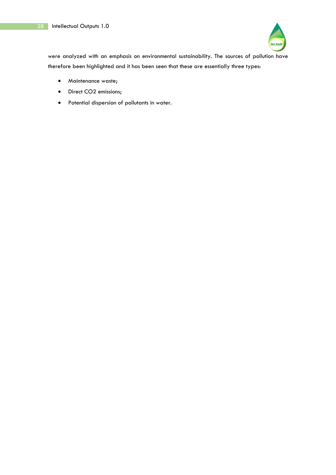

were analyzed with an emphasis on environmental sustainability. The sources of pollution have therefore been highlighted and it has been seen that these are essentially three types:

- Maintenance waste;
- Direct CO2 emissions;
- Potential dispersion of pollutants in water.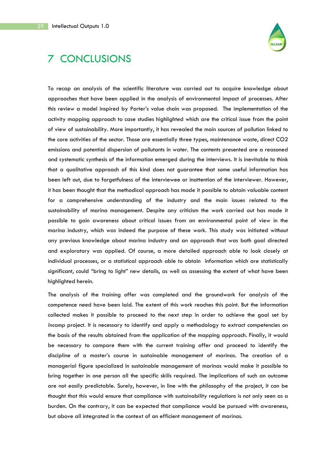

# 7 CONCLUSIONS

To recap an analysis of the scientific literature was carried out to acquire knowledge about approaches that have been applied in the analysis of environmental impact of processes. After this review a model inspired by Porter's value chain was proposed. The implementation of the activity mapping approach to case studies highlighted which are the critical issue from the point of view of sustainability. More importantly, it has revealed the main sources of pollution linked to the core activities of the sector. Those are essentially three types, maintenance waste, direct CO2 emissions and potential dispersion of pollutants in water. The contents presented are a reasoned and systematic synthesis of the information emerged during the interviews. It is inevitable to think that a qualitative approach of this kind does not guarantee that some useful information has been left out, due to forgetfulness of the interviewee or inattention of the interviewer. However, it has been thought that the methodical approach has made it possible to obtain valuable content for a comprehensive understanding of the industry and the main issues related to the sustainability of marina management. Despite any criticism the work carried out has made it possible to gain awareness about critical issues from an environmental point of view in the marina industry, which was indeed the purpose of these work. This study was initiated without any previous knowledge about marina industry and an approach that was both goal directed and exploratory was applied. Of course, a more detailed approach able to look closely at individual processes, or a statistical approach able to obtain information which are statistically significant, could "bring to light" new details, as well as assessing the extent of what have been highlighted herein.

The analysis of the training offer was completed and the groundwork for analysis of the competence need have been laid. The extent of this work reaches this point. But the information collected makes it possible to proceed to the next step in order to achieve the goal set by *Incamp* project. It is necessary to identify and apply a methodology to extract competencies on the basis of the results obtained from the application of the mapping approach. Finally, it would be necessary to compare them with the current training offer and proceed to identify the discipline of a master's course in sustainable management of marinas. The creation of a managerial figure specialized in sustainable management of marinas would make it possible to bring together in one person all the specific skills required. The implications of such an outcome are not easily predictable. Surely, however, in line with the philosophy of the project, it can be thought that this would ensure that compliance with sustainability regulations is not only seen as a burden. On the contrary, it can be expected that compliance would be pursued with awareness, but above all integrated in the context of an efficient management of marinas.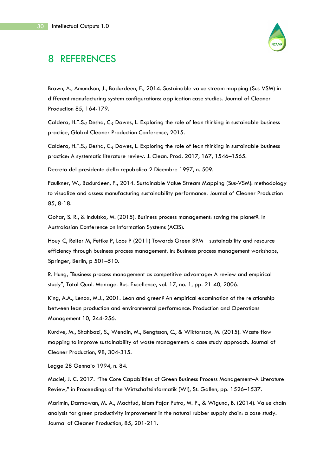

# 8 REFERENCES

Brown, A., Amundson, J., Badurdeen, F., 2014. Sustainable value stream mapping (Sus-VSM) in different manufacturing system configurations: application case studies. Journal of Cleaner Production 85, 164-179.

Caldera, H.T.S.; Desha, C.; Dawes, L. Exploring the role of lean thinking in sustainable business practice, Global Cleaner Production Conference, 2015.

Caldera, H.T.S.; Desha, C.; Dawes, L. Exploring the role of lean thinking in sustainable business practice: A systematic literature review. J. Clean. Prod. 2017, 167, 1546–1565.

Decreto del presidente della repubblica 2 Dicembre 1997, n. 509.

Faulkner, W., Badurdeen, F., 2014. Sustainable Value Stream Mapping (Sus-VSM): methodology to visualize and assess manufacturing sustainability performance. Journal of Cleaner Production 85, 8-18.

Gohar, S. R., & Indulska, M. (2015). Business process management: saving the planet?. In Australasian Conference on Information Systems (ACIS).

Houy C, Reiter M, Fettke P, Loos P (2011) Towards Green BPM—sustainability and resource efficiency through business process management. In: Business process management workshops, Springer, Berlin, p 501–510.

R. Hung, "Business process management as competitive advantage: A review and empirical study", Total Qual. Manage. Bus. Excellence, vol. 17, no. 1, pp. 21-40, 2006.

King, A.A., Lenox, M.J., 2001. Lean and green? An empirical examination of the relationship between lean production and environmental performance. Production and Operations Management 10, 244-256.

Kurdve, M., Shahbazi, S., Wendin, M., Bengtsson, C., & Wiktorsson, M. (2015). Waste flow mapping to improve sustainability of waste management: a case study approach. Journal of Cleaner Production, 98, 304-315.

Legge 28 Gennaio 1994, n. 84.

Maciel, J. C. 2017. "The Core Capabilities of Green Business Process Management–A Literature Review," in Proceedings of the Wirtschaftsinformatik (WI), St. Gallen, pp. 1526–1537.

Marimin, Darmawan, M. A., Machfud, Islam Fajar Putra, M. P., & Wiguna, B. (2014). Value chain analysis for green productivity improvement in the natural rubber supply chain: a case study. Journal of Cleaner Production, 85, 201-211.